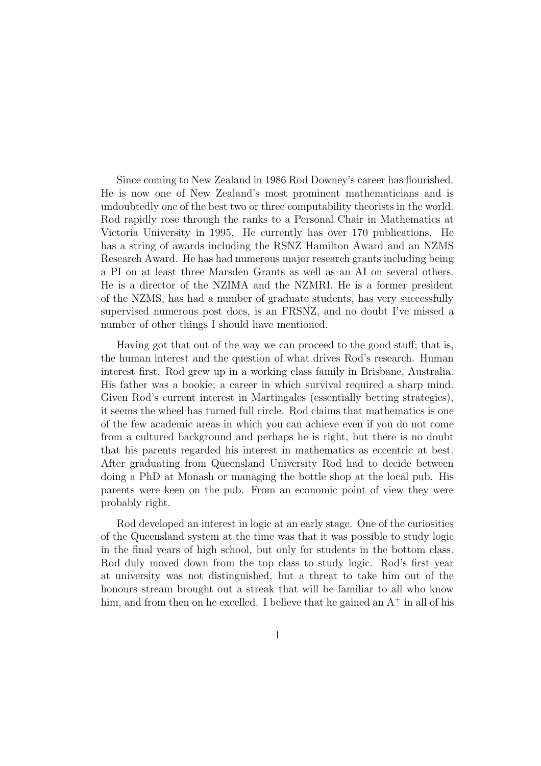Since coming to New Zealand in 1986 Rod Downey's career has flourished. He is now one of New Zealand's most prominent mathematicians and is undoubtedly one of the best two or three computability theorists in the world. Rod rapidly rose through the ranks to a Personal Chair in Mathematics at Victoria University in 1995. He currently has over 170 publications. He has a string of awards including the RSNZ Hamilton Award and an NZMS Research Award. He has had numerous major research grants including being a PI on at least three Marsden Grants as well as an AI on several others. He is a director of the NZIMA and the NZMRI. He is a former president of the NZMS, has had a number of graduate students, has very successfully supervised numerous post docs, is an FRSNZ, and no doubt I've missed a number of other things I should have mentioned.

Having got that out of the way we can proceed to the good stuff; that is, the human interest and the question of what drives Rod's research. Human interest first. Rod grew up in a working class family in Brisbane, Australia. His father was a bookie; a career in which survival required a sharp mind. Given Rod's current interest in Martingales (essentially betting strategies), it seems the wheel has turned full circle. Rod claims that mathematics is one of the few academic areas in which you can achieve even if you do not come from a cultured background and perhaps he is right, but there is no doubt that his parents regarded his interest in mathematics as eccentric at best. After graduating from Queensland University Rod had to decide between doing a PhD at Monash or managing the bottle shop at the local pub. His parents were keen on the pub. From an economic point of view they were probably right.

Rod developed an interest in logic at an early stage. One of the curiosities of the Queensland system at the time was that it was possible to study logic in the final years of high school, but only for students in the bottom class. Rod duly moved down from the top class to study logic. Rod's first year at university was not distinguished, but a threat to take him out of the honours stream brought out a streak that will be familiar to all who know him, and from then on he excelled. I believe that he gained an  $A^+$  in all of his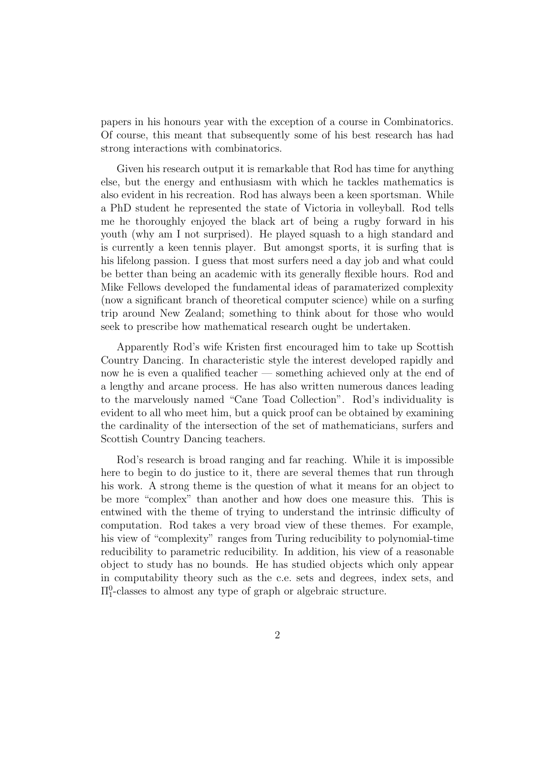papers in his honours year with the exception of a course in Combinatorics. Of course, this meant that subsequently some of his best research has had strong interactions with combinatorics.

Given his research output it is remarkable that Rod has time for anything else, but the energy and enthusiasm with which he tackles mathematics is also evident in his recreation. Rod has always been a keen sportsman. While a PhD student he represented the state of Victoria in volleyball. Rod tells me he thoroughly enjoyed the black art of being a rugby forward in his youth (why am I not surprised). He played squash to a high standard and is currently a keen tennis player. But amongst sports, it is surfing that is his lifelong passion. I guess that most surfers need a day job and what could be better than being an academic with its generally flexible hours. Rod and Mike Fellows developed the fundamental ideas of paramaterized complexity (now a significant branch of theoretical computer science) while on a surfing trip around New Zealand; something to think about for those who would seek to prescribe how mathematical research ought be undertaken.

Apparently Rod's wife Kristen first encouraged him to take up Scottish Country Dancing. In characteristic style the interest developed rapidly and now he is even a qualified teacher — something achieved only at the end of a lengthy and arcane process. He has also written numerous dances leading to the marvelously named "Cane Toad Collection". Rod's individuality is evident to all who meet him, but a quick proof can be obtained by examining the cardinality of the intersection of the set of mathematicians, surfers and Scottish Country Dancing teachers.

Rod's research is broad ranging and far reaching. While it is impossible here to begin to do justice to it, there are several themes that run through his work. A strong theme is the question of what it means for an object to be more "complex" than another and how does one measure this. This is entwined with the theme of trying to understand the intrinsic difficulty of computation. Rod takes a very broad view of these themes. For example, his view of "complexity" ranges from Turing reducibility to polynomial-time reducibility to parametric reducibility. In addition, his view of a reasonable object to study has no bounds. He has studied objects which only appear in computability theory such as the c.e. sets and degrees, index sets, and  $\Pi_1^0$ -classes to almost any type of graph or algebraic structure.